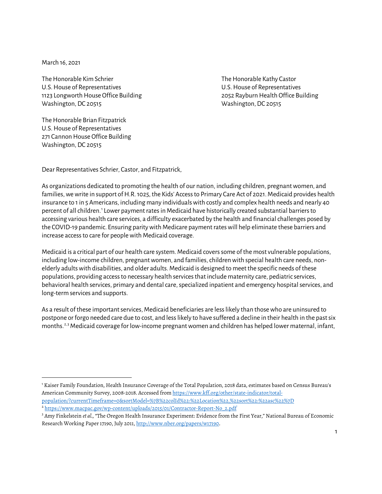March 16, 2021

The Honorable Kim Schrier The Honorable Kathy Castor U.S. House of Representatives U.S. House of Representatives 1123 Longworth House Office Building 2052 Rayburn Health Office Building Washington, DC 20515 Washington, DC 20515

The Honorable Brian Fitzpatrick U.S. House of Representatives 271 Cannon House Office Building Washington, DC 20515

Dear Representatives Schrier, Castor, and Fitzpatrick,

As organizations dedicated to promoting the health of our nation, including children, pregnant women, and families, we write in support of H.R.1025, the Kids' Access to Primary Care Act of 2021. Medicaid provides health insurance to 1 in 5 Americans, including many individuals with costly and complex health needs and nearly 40 percent of all children. [1](#page-0-0) Lower payment rates in Medicaid have historically created substantial barriers to accessing various health care services, a difficulty exacerbated by the health and financial challenges posed by the COVID-19 pandemic. Ensuring parity with Medicare payment rates will help eliminate these barriers and increase access to care for people with Medicaid coverage.

Medicaid is a critical part of our health care system. Medicaid covers some of the most vulnerable populations, including low-income children, pregnant women, and families, children with special health care needs, nonelderly adults with disabilities, and older adults. Medicaid is designed to meet the specific needs of these populations, providing access to necessary health services that include maternity care, pediatric services, behavioral health services, primary and dental care, specialized inpatient and emergency hospital services, and long-term services and supports.

As a result of these important services, Medicaid beneficiaries are less likely than those who are uninsured to postpone or forgo needed care due to cost, and less likely to have suffered a decline in their health in the past six months.<sup>[2](#page-0-1),[3](#page-0-2)</sup> Medicaid coverage for low-income pregnant women and children has helped lower maternal, infant,

<span id="page-0-0"></span><sup>1</sup> Kaiser Family Foundation, Health Insurance Coverage of the Total Population, 2018 data, estimates based on Census Bureau's American Community Survey, 2008-2018. Accessed from [https://www.kff.org/other/state-indicator/total](https://www.kff.org/other/state-indicator/total-population/?currentTimeframe=0&sortModel=%7B%22colId%22:%22Location%22,%22sort%22:%22asc%22%7D)[population/?currentTimeframe=0&sortModel=%7B%22colId%22:%22Location%22,%22sort%22:%22asc%22%7D](https://www.kff.org/other/state-indicator/total-population/?currentTimeframe=0&sortModel=%7B%22colId%22:%22Location%22,%22sort%22:%22asc%22%7D)

<span id="page-0-1"></span><sup>&</sup>lt;sup>2</sup> [https://www.macpac.gov/wp-content/uploads/2015/01/Contractor-Report-No\\_2.pdf](https://www.macpac.gov/wp-content/uploads/2015/01/Contractor-Report-No_2.pdf)

<span id="page-0-2"></span><sup>&</sup>lt;sup>3</sup> Amy Finkelstein *et al.*, "The Oregon Health Insurance Experiment: Evidence from the First Year," National Bureau of Economic Research Working Paper 17190, July 2011, [http://www.nber.org/papers/w17190.](http://www.nber.org/papers/w17190)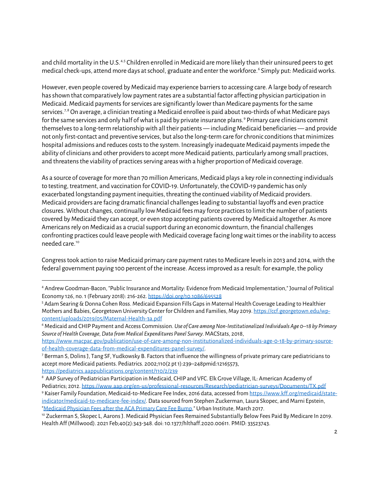and child mortality in the U.S.[4,](#page-1-0)[5](#page-1-1) Children enrolled in Medicaid are more likely than their uninsured peers to get medical check-ups, attend more days at school, graduate and enter the workforce.[6](#page-1-2) Simply put: Medicaid works.

However, even people covered by Medicaid may experience barriers to accessing care. A large body of research has shown that comparatively low payment rates are a substantial factor affecting physician participation in Medicaid. Medicaid paymentsfor services are significantly lower than Medicare payments for the same services.<sup>[7,](#page-1-3)[8](#page-1-4)</sup> On average, a clinician treating a Medicaid enrollee is paid about two-thirds of what Medicare pays for the same services and only half of what is paid by private insurance plans.<sup>[9](#page-1-5)</sup> Primary care clinicians commit themselves to a long-term relationship with all their patients — including Medicaid beneficiaries — and provide not only first-contact and preventive services, but also the long-term care for chronic conditions that minimizes hospital admissions and reduces costs to the system. Increasingly inadequate Medicaid payments impede the ability of clinicians and other providers to accept more Medicaid patients, particularly among small practices, and threatens the viability of practices serving areas with a higher proportion of Medicaid coverage.

As a source of coverage for more than 70 million Americans, Medicaid plays a key role in connecting individuals to testing, treatment, and vaccination for COVID-19. Unfortunately, the COVID-19 pandemic has only exacerbated longstanding payment inequities, threating the continued viability of Medicaid providers. Medicaid providers are facing dramatic financial challenges leading to substantial layoffs and even practice closures. Without changes, continually low Medicaid fees may force practices to limit the number of patients covered by Medicaid they can accept, or even stop accepting patients covered by Medicaid altogether. As more Americans rely on Medicaid as a crucial support during an economic downturn, the financial challenges confronting practices could leave people with Medicaid coverage facing long wait times or the inability to access needed care. [10](#page-1-6)

Congress took action to raise Medicaid primary care payment rates to Medicare levels in 2013 and 2014, with the federal government paying 100 percent of the increase. Access improved as a result: for example, the policy

[https://www.macpac.gov/publication/use-of-care-among-non-institutionalized-individuals-age-0-18-by-primary-source](https://www.macpac.gov/publication/use-of-care-among-non-institutionalized-individuals-age-0-18-by-primary-source-of-health-coverage-data-from-medical-expenditures-panel-survey/)[of-health-coverage-data-from-medical-expenditures-panel-survey/.](https://www.macpac.gov/publication/use-of-care-among-non-institutionalized-individuals-age-0-18-by-primary-source-of-health-coverage-data-from-medical-expenditures-panel-survey/)<br><sup>7</sup> Berman S, Dolins J, Tang SF, Yudkowsky B. Factors that influence the willingness of private primary care pediatricians to

<https://pediatrics.aappublications.org/content/110/2/239>

<span id="page-1-0"></span><sup>4</sup> Andrew Goodman-Bacon, "Public Insurance and Mortality: Evidence from Medicaid Implementation," Journal of Political Economy 126, no. 1 (February 2018): 216-262[. https://doi.org/10.1086/695528](https://doi.org/10.1086/695528)

<span id="page-1-1"></span><sup>5</sup> Adam Searing & Donna Cohen Ross. Medicaid Expansion Fills Gaps in Maternal Health Coverage Leading to Healthier Mothers and Babies, Georgetown University Center for Children and Families, May 2019[. https://ccf.georgetown.edu/wp](https://ccf.georgetown.edu/wp-content/uploads/2019/05/Maternal-Health-3a.pdf)[content/uploads/2019/05/Maternal-Health-3a.pdf](https://ccf.georgetown.edu/wp-content/uploads/2019/05/Maternal-Health-3a.pdf)

<span id="page-1-2"></span><sup>6</sup> Medicaid and CHIP Payment and Access Commission. *Use of Care among Non-Institutionalized Individuals Age 0–18 by Primary Source of Health Coverage, Data from Medical Expenditures Panel Survey*. MACStats, 2018,

<span id="page-1-3"></span>accept more Medicaid patients. Pediatrics. 2002;110(2 pt 1):239–248pmid:12165573,

<span id="page-1-4"></span><sup>8</sup> AAP Survey of Pediatrician Participation in Medicaid, CHIP and VFC. Elk Grove Village, IL: American Academy of Pediatrics; 2012[. https://www.aap.org/en-us/professional-resources/Research/pediatrician-surveys/Documents/TX.pdf](https://www.aap.org/en-us/professional-resources/Research/pediatrician-surveys/Documents/TX.pdf)

<span id="page-1-5"></span><sup>9</sup> Kaiser Family Foundation, Medicaid-to-Medicare Fee Index, 2016 data, accessed from [https://www.kff.org/medicaid/state](https://www.kff.org/medicaid/state-indicator/medicaid-to-medicare-fee-index/)[indicator/medicaid-to-medicare-fee-index/.](https://www.kff.org/medicaid/state-indicator/medicaid-to-medicare-fee-index/) Data sourced from Stephen Zuckerman, Laura Skopec, and Marni Epstein, ["Medicaid Physician Fees after the ACA Primary Care Fee Bump,](http://www.urban.org/research/publication/medicaid-physician-fees-after-aca-primary-care-fee-bump)" Urban Institute, March 2017.

<span id="page-1-6"></span><sup>10</sup> Zuckerman S, Skopec L, Aarons J. Medicaid Physician Fees Remained Substantially Below Fees Paid By Medicare In 2019. Health Aff (Millwood). 2021 Feb;40(2):343-348. doi: 10.1377/hlthaff.2020.00611. PMID: 33523743.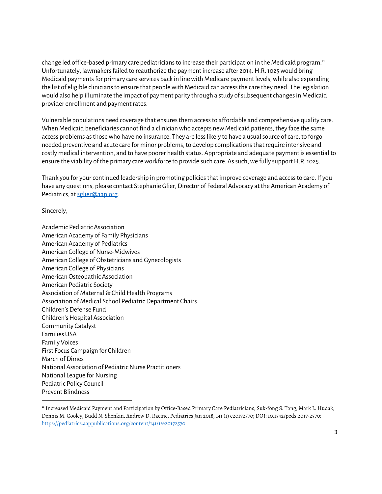change led office-based primary care pediatricians to increase their participation in the Medicaid program.<sup>[11](#page-2-0)</sup> Unfortunately, lawmakers failed to reauthorize the payment increase after 2014. H.R. 1025 would bring Medicaid payments for primary care services back in line with Medicare payment levels, while also expanding the list of eligible clinicians to ensure that people with Medicaid can access the care they need. The legislation would also help illuminate the impact of payment parity through a study of subsequent changes in Medicaid provider enrollment and payment rates.

Vulnerable populations need coverage that ensures them access to affordable and comprehensive quality care. When Medicaid beneficiaries cannot find a clinician who accepts new Medicaid patients, they face the same access problems as those who have no insurance. They are less likely to have a usual source of care, to forgo needed preventive and acute care for minor problems, to develop complications that require intensive and costly medical intervention, and to have poorer health status. Appropriate and adequate payment is essential to ensure the viability of the primary care workforce to provide such care. As such, we fully support H.R. 1025.

Thank you for your continued leadership in promoting policies that improve coverage and access to care. If you have any questions, please contact Stephanie Glier, Director of Federal Advocacy at the American Academy of Pediatrics, a[t sglier@aap.org.](mailto:sglier@aap.org)

Sincerely,

Academic Pediatric Association American Academy of Family Physicians American Academy of Pediatrics American College of Nurse-Midwives American College of Obstetricians and Gynecologists American College of Physicians American Osteopathic Association American Pediatric Society Association of Maternal & Child Health Programs Association of Medical School Pediatric Department Chairs Children's Defense Fund Children's Hospital Association Community Catalyst Families USA Family Voices First Focus Campaign for Children March of Dimes National Association of Pediatric Nurse Practitioners National League for Nursing Pediatric Policy Council Prevent Blindness

<span id="page-2-0"></span><sup>&</sup>lt;sup>11</sup> Increased Medicaid Payment and Participation by Office-Based Primary Care Pediatricians, Suk-fong S. Tang, Mark L. Hudak, Dennis M. Cooley, Budd N. Shenkin, Andrew D. Racine, Pediatrics Jan 2018, 141 (1) e20172570; DOI: 10.1542/peds.2017-2570: <https://pediatrics.aappublications.org/content/141/1/e20172570>